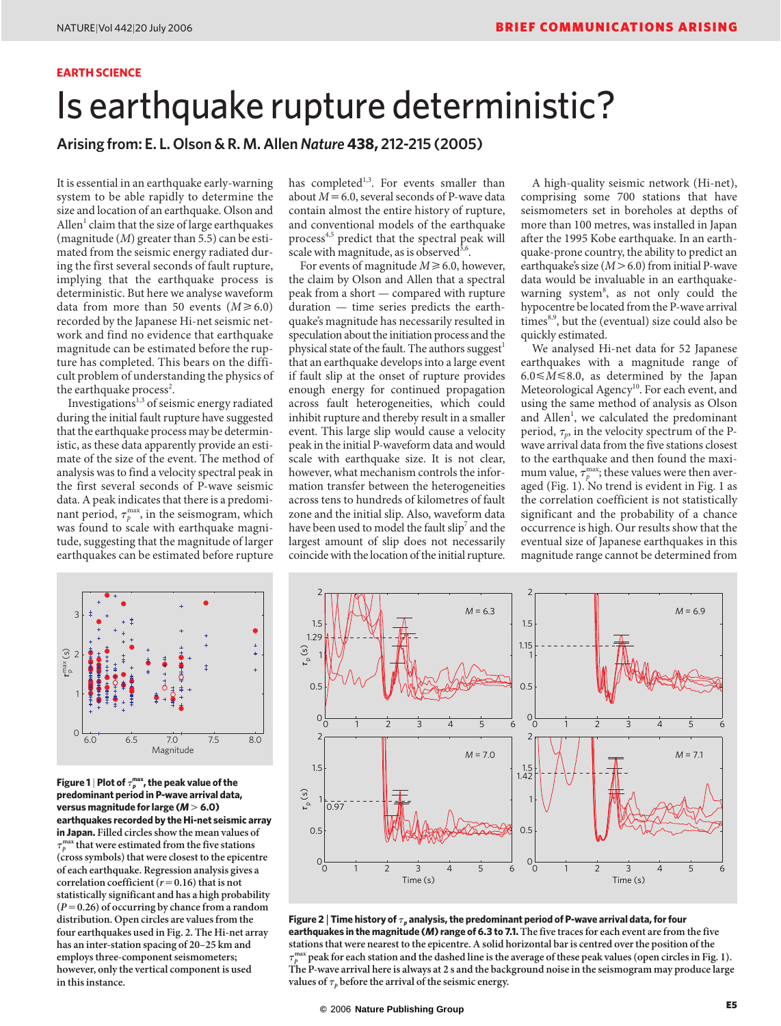## **EARTH SCIENCE**

# Is earthquake rupture deterministic?

**Arising from: E. L. Olson & R. M. Allen** *Nature* **438, 212-215 (2005)**

It is essential in an earthquake early-warning system to be able rapidly to determine the size and location of an earthquake. Olson and  $\text{Allen}^1$  claim that the size of large earthquakes (magnitude (*M*) greater than 5.5) can be estimated from the seismic energy radiated during the first several seconds of fault rupture, implying that the earthquake process is deterministic. But here we analyse waveform data from more than 50 events  $(M \ge 6.0)$ recorded by the Japanese Hi-net seismic network and find no evidence that earthquake magnitude can be estimated before the rupture has completed. This bears on the difficult problem of understanding the physics of the earthquake process<sup>2</sup>.

Investigations<sup>1,3</sup> of seismic energy radiated during the initial fault rupture have suggested that the earthquake process may be deterministic, as these data apparently provide an estimate of the size of the event. The method of analysis was to find a velocity spectral peak in the first several seconds of P-wave seismic data. A peak indicates that there is a predominant period,  $\tau_p^{\text{max}}$ , in the seismogram, which was found to scale with earthquake magnitude, suggesting that the magnitude of larger earthquakes can be estimated before rupture

has completed<sup>1,3</sup>. For events smaller than about  $M=6.0$ , several seconds of P-wave data contain almost the entire history of rupture, and conventional models of the earthquake process<sup>4,5</sup> predict that the spectral peak will scale with magnitude, as is observed<sup>3,6</sup>.

For events of magnitude  $M \ge 6.0$ , however, the claim by Olson and Allen that a spectral peak from a short — compared with rupture duration — time series predicts the earthquake's magnitude has necessarily resulted in speculation about the initiation process and the physical state of the fault. The authors suggest<sup>1</sup> that an earthquake develops into a large event if fault slip at the onset of rupture provides enough energy for continued propagation across fault heterogeneities, which could inhibit rupture and thereby result in a smaller event. This large slip would cause a velocity peak in the initial P-waveform data and would scale with earthquake size. It is not clear, however, what mechanism controls the information transfer between the heterogeneities across tens to hundreds of kilometres of fault zone and the initial slip. Also, waveform data have been used to model the fault slip<sup>7</sup> and the largest amount of slip does not necessarily coincide with the location of the initial rupture.

A high-quality seismic network (Hi-net), comprising some 700 stations that have seismometers set in boreholes at depths of more than 100 metres, was installed in Japan after the 1995 Kobe earthquake. In an earthquake-prone country, the ability to predict an earthquake's size  $(M > 6.0)$  from initial P-wave data would be invaluable in an earthquakewarning system<sup>8</sup>, as not only could the hypocentre be located from the P-wave arrival  $times<sup>8,9</sup>$ , but the (eventual) size could also be quickly estimated.

We analysed Hi-net data for 52 Japanese earthquakes with a magnitude range of  $6.0 \leq M \leq 8.0$ , as determined by the Japan Meteorological Agency<sup>10</sup>. For each event, and using the same method of analysis as Olson and Allen<sup>1</sup>, we calculated the predominant period,  $\tau_p$ , in the velocity spectrum of the Pwave arrival data from the five stations closest to the earthquake and then found the maximum value,  $\tau_p^{\text{max}}$ ; these values were then averaged (Fig. 1). No trend is evident in Fig. 1 as the correlation coefficient is not statistically significant and the probability of a chance occurrence is high. Our results show that the eventual size of Japanese earthquakes in this magnitude range cannot be determined from



Figure 1 | Plot of  $\tau_p^{\text{max}}$ , the peak value of the **predominant period in P-wave arrival data, versus magnitude for large (***M***6.0) earthquakes recorded by the Hi-net seismic array in Japan. Filled circles show the mean values of**  $\tau$  *p* **max that were estimated from the five stations (cross symbols) that were closest to the epicentre of each earthquake. Regression analysis gives a correlation coefficient**  $(r=0.16)$  that is not **statistically significant and has a high probability (***P***0.26) of occurring by chance from a random distribution. Open circles are values from the four earthquakes used in Fig. 2. The Hi-net array has an inter-station spacing of 20–25 km and employs three-component seismometers; however, only the vertical component is used in this instance.**



Figure 2  $|$  Time history of  $\tau_p$  analysis, the predominant period of P-wave arrival data, for four **earthquakes in the magnitude (***M***) range of 6.3 to 7.1. The five traces for each event are from the five stations that were nearest to the epicentre. A solid horizontal bar is centred over the position of the**   $\tau$  *p* **The P-wave arrival here is always at 2 s and the background noise in the seismogram may produce large max peak for each station and the dashed line is the average of these peak values (open circles in Fig. 1).** values of  $\tau_p$  before the arrival of the seismic energy.